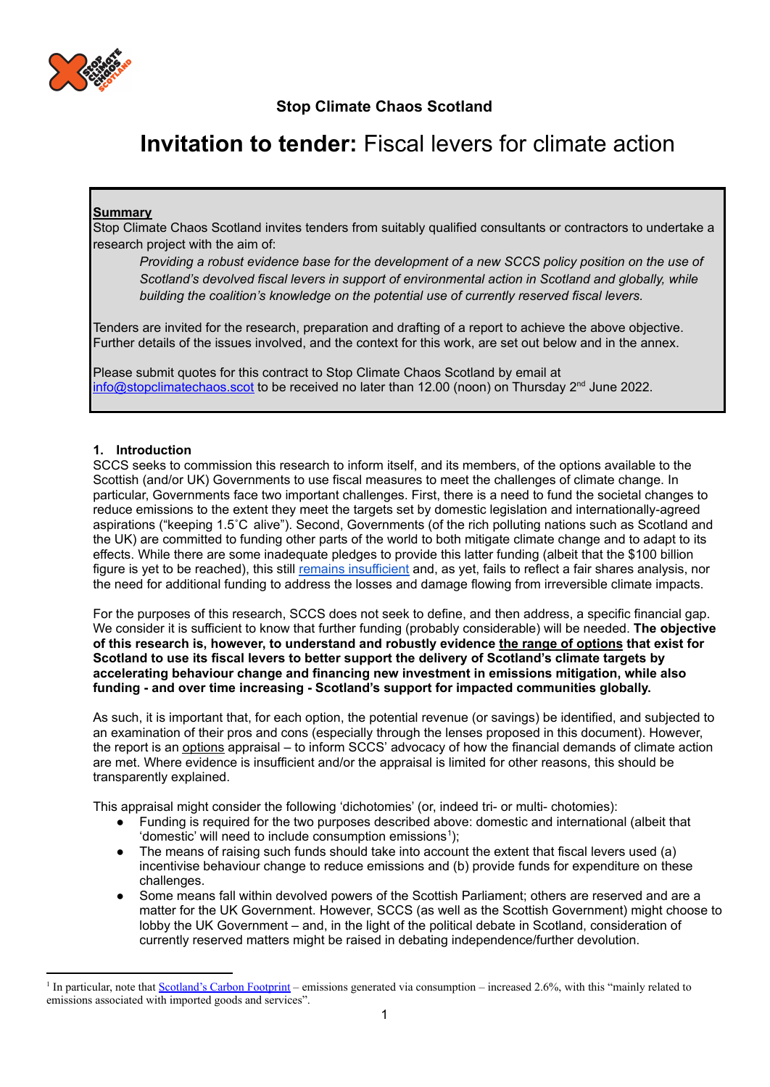

# **Invitation to tender:** Fiscal levers for climate action

## **Summary**

Stop Climate Chaos Scotland invites tenders from suitably qualified consultants or contractors to undertake a research project with the aim of:

*Providing a robust evidence base for the development of a new SCCS policy position on the use of Scotland's devolved fiscal levers in support of environmental action in Scotland and globally, while building the coalition's knowledge on the potential use of currently reserved fiscal levers.*

Tenders are invited for the research, preparation and drafting of a report to achieve the above objective. Further details of the issues involved, and the context for this work, are set out below and in the annex.

Please submit quotes for this contract to Stop Climate Chaos Scotland by email at [info@stopclimatechaos.scot](mailto:info@stopclimatechaos.scot) to be received no later than 12.00 (noon) on Thursday 2<sup>nd</sup> June 2022.

## **1. Introduction**

SCCS seeks to commission this research to inform itself, and its members, of the options available to the Scottish (and/or UK) Governments to use fiscal measures to meet the challenges of climate change. In particular, Governments face two important challenges. First, there is a need to fund the societal changes to reduce emissions to the extent they meet the targets set by domestic legislation and internationally-agreed aspirations ("keeping 1.5˚C alive"). Second, Governments (of the rich polluting nations such as Scotland and the UK) are committed to funding other parts of the world to both mitigate climate change and to adapt to its effects. While there are some inadequate pledges to provide this latter funding (albeit that the \$100 billion figure is yet to be reached), this still remains [insufficient](https://www.stopclimatechaos.scot/press-release-outcome-from-cop26/) and, as yet, fails to reflect a fair shares analysis, nor the need for additional funding to address the losses and damage flowing from irreversible climate impacts.

For the purposes of this research, SCCS does not seek to define, and then address, a specific financial gap. We consider it is sufficient to know that further funding (probably considerable) will be needed. **The objective of this research is, however, to understand and robustly evidence the range of options that exist for Scotland to use its fiscal levers to better support the delivery of Scotland's climate targets by accelerating behaviour change and financing new investment in emissions mitigation, while also funding - and over time increasing - Scotland's support for impacted communities globally.**

As such, it is important that, for each option, the potential revenue (or savings) be identified, and subjected to an examination of their pros and cons (especially through the lenses proposed in this document). However, the report is an options appraisal – to inform SCCS' advocacy of how the financial demands of climate action are met. Where evidence is insufficient and/or the appraisal is limited for other reasons, this should be transparently explained.

This appraisal might consider the following 'dichotomies' (or, indeed tri- or multi- chotomies):

- Funding is required for the two purposes described above: domestic and international (albeit that 'domestic' will need to include consumption emissions 1 );
- The means of raising such funds should take into account the extent that fiscal levers used (a) incentivise behaviour change to reduce emissions and (b) provide funds for expenditure on these challenges.
- Some means fall within devolved powers of the Scottish Parliament; others are reserved and are a matter for the UK Government. However, SCCS (as well as the Scottish Government) might choose to lobby the UK Government – and, in the light of the political debate in Scotland, consideration of currently reserved matters might be raised in debating independence/further devolution.

<sup>&</sup>lt;sup>1</sup> In particular, note that [Scotland's Carbon Footprint](https://www.gov.scot/news/scotlands-carbon-footprint-1998-2018/) – emissions generated via consumption – increased 2.6%, with this "mainly related to emissions associated with imported goods and services".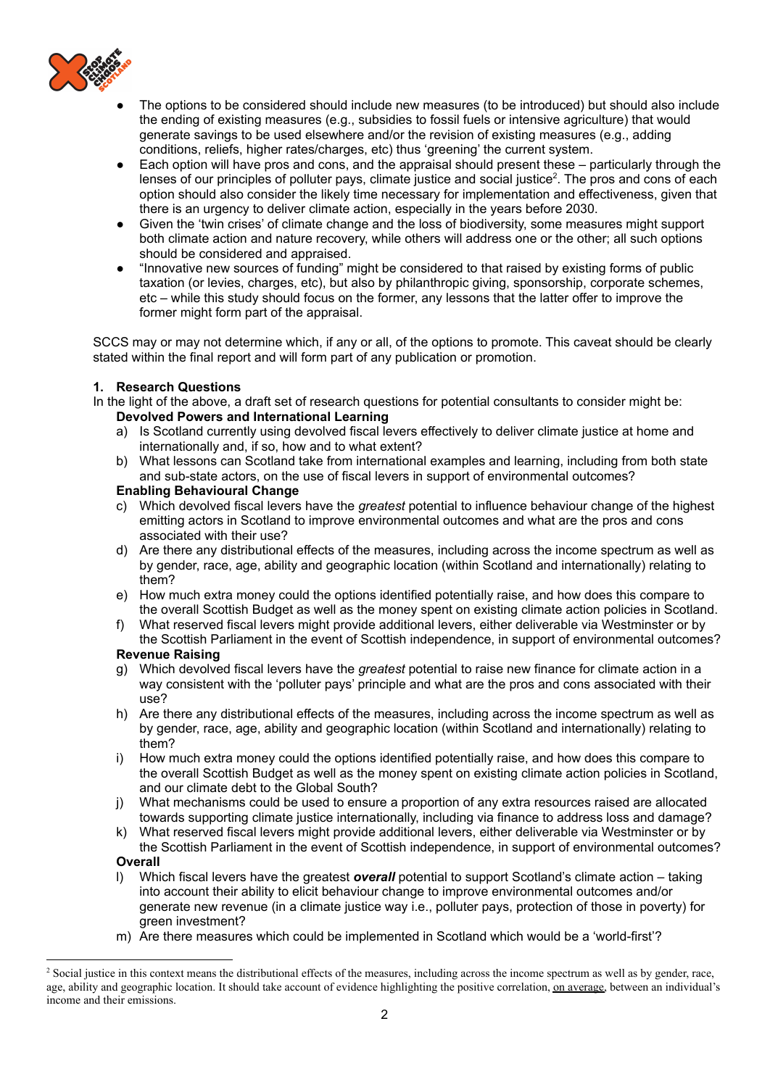

- The options to be considered should include new measures (to be introduced) but should also include the ending of existing measures (e.g., subsidies to fossil fuels or intensive agriculture) that would generate savings to be used elsewhere and/or the revision of existing measures (e.g., adding conditions, reliefs, higher rates/charges, etc) thus 'greening' the current system.
- Each option will have pros and cons, and the appraisal should present these particularly through the lenses of our principles of polluter pays, climate justice and social justice<sup>2</sup>. The pros and cons of each option should also consider the likely time necessary for implementation and effectiveness, given that there is an urgency to deliver climate action, especially in the years before 2030.
- Given the 'twin crises' of climate change and the loss of biodiversity, some measures might support both climate action and nature recovery, while others will address one or the other; all such options should be considered and appraised.
- "Innovative new sources of funding" might be considered to that raised by existing forms of public taxation (or levies, charges, etc), but also by philanthropic giving, sponsorship, corporate schemes, etc – while this study should focus on the former, any lessons that the latter offer to improve the former might form part of the appraisal.

SCCS may or may not determine which, if any or all, of the options to promote. This caveat should be clearly stated within the final report and will form part of any publication or promotion.

## **1. Research Questions**

In the light of the above, a draft set of research questions for potential consultants to consider might be: **Devolved Powers and International Learning**

- a) Is Scotland currently using devolved fiscal levers effectively to deliver climate justice at home and internationally and, if so, how and to what extent?
- b) What lessons can Scotland take from international examples and learning, including from both state and sub-state actors, on the use of fiscal levers in support of environmental outcomes?

## **Enabling Behavioural Change**

- c) Which devolved fiscal levers have the *greatest* potential to influence behaviour change of the highest emitting actors in Scotland to improve environmental outcomes and what are the pros and cons associated with their use?
- d) Are there any distributional effects of the measures, including across the income spectrum as well as by gender, race, age, ability and geographic location (within Scotland and internationally) relating to them?
- e) How much extra money could the options identified potentially raise, and how does this compare to the overall Scottish Budget as well as the money spent on existing climate action policies in Scotland.
- f) What reserved fiscal levers might provide additional levers, either deliverable via Westminster or by the Scottish Parliament in the event of Scottish independence, in support of environmental outcomes?

#### **Revenue Raising**

- g) Which devolved fiscal levers have the *greatest* potential to raise new finance for climate action in a way consistent with the 'polluter pays' principle and what are the pros and cons associated with their use?
- h) Are there any distributional effects of the measures, including across the income spectrum as well as by gender, race, age, ability and geographic location (within Scotland and internationally) relating to them?
- i) How much extra money could the options identified potentially raise, and how does this compare to the overall Scottish Budget as well as the money spent on existing climate action policies in Scotland, and our climate debt to the Global South?
- j) What mechanisms could be used to ensure a proportion of any extra resources raised are allocated towards supporting climate justice internationally, including via finance to address loss and damage?
- k) What reserved fiscal levers might provide additional levers, either deliverable via Westminster or by the Scottish Parliament in the event of Scottish independence, in support of environmental outcomes? **Overall**

- l) Which fiscal levers have the greatest *overall* potential to support Scotland's climate action taking into account their ability to elicit behaviour change to improve environmental outcomes and/or generate new revenue (in a climate justice way i.e., polluter pays, protection of those in poverty) for green investment?
- m) Are there measures which could be implemented in Scotland which would be a 'world-first'?

<sup>&</sup>lt;sup>2</sup> Social justice in this context means the distributional effects of the measures, including across the income spectrum as well as by gender, race, age, ability and geographic location. It should take account of evidence highlighting the positive correlation, on average, between an individual's income and their emissions.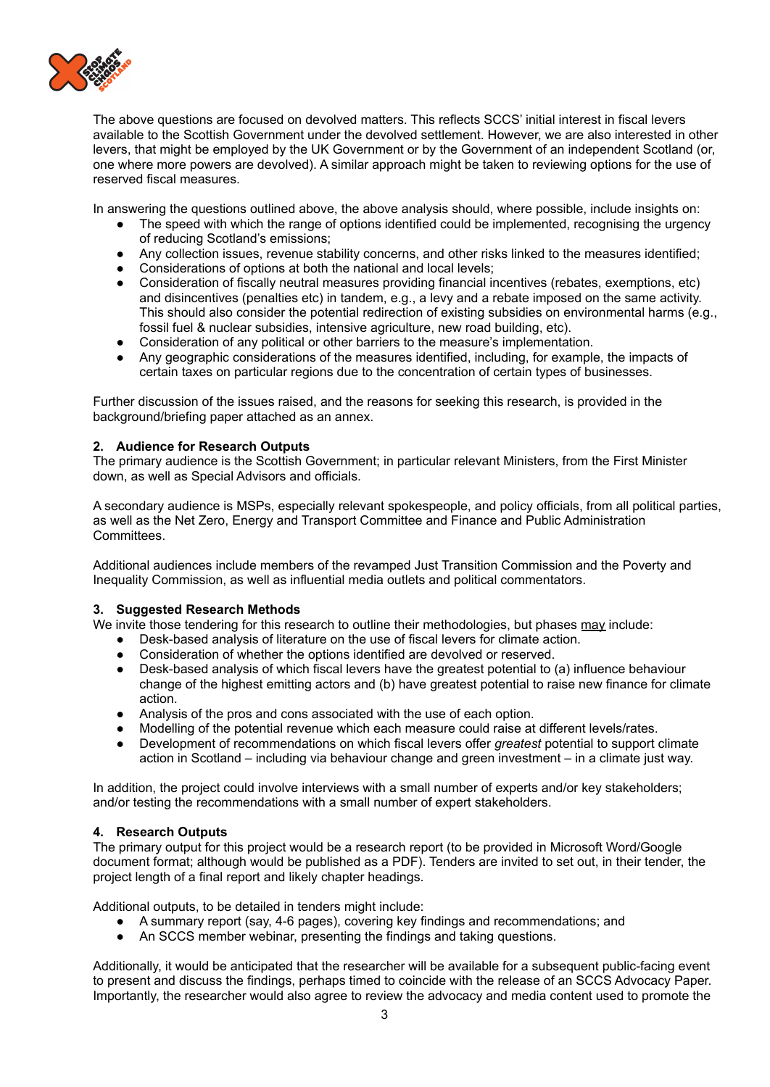

The above questions are focused on devolved matters. This reflects SCCS' initial interest in fiscal levers available to the Scottish Government under the devolved settlement. However, we are also interested in other levers, that might be employed by the UK Government or by the Government of an independent Scotland (or, one where more powers are devolved). A similar approach might be taken to reviewing options for the use of reserved fiscal measures.

In answering the questions outlined above, the above analysis should, where possible, include insights on:

- The speed with which the range of options identified could be implemented, recognising the urgency of reducing Scotland's emissions;
- Any collection issues, revenue stability concerns, and other risks linked to the measures identified;
- Considerations of options at both the national and local levels;<br>• Consideration of fiscally neutral measures providing financial in
- Consideration of fiscally neutral measures providing financial incentives (rebates, exemptions, etc) and disincentives (penalties etc) in tandem, e.g., a levy and a rebate imposed on the same activity. This should also consider the potential redirection of existing subsidies on environmental harms (e.g., fossil fuel & nuclear subsidies, intensive agriculture, new road building, etc).
- Consideration of any political or other barriers to the measure's implementation.
- Any geographic considerations of the measures identified, including, for example, the impacts of certain taxes on particular regions due to the concentration of certain types of businesses.

Further discussion of the issues raised, and the reasons for seeking this research, is provided in the background/briefing paper attached as an annex.

## **2. Audience for Research Outputs**

The primary audience is the Scottish Government; in particular relevant Ministers, from the First Minister down, as well as Special Advisors and officials.

A secondary audience is MSPs, especially relevant spokespeople, and policy officials, from all political parties, as well as the Net Zero, Energy and Transport Committee and Finance and Public Administration Committees.

Additional audiences include members of the revamped Just Transition Commission and the Poverty and Inequality Commission, as well as influential media outlets and political commentators.

## **3. Suggested Research Methods**

We invite those tendering for this research to outline their methodologies, but phases may include:

- Desk-based analysis of literature on the use of fiscal levers for climate action.
- Consideration of whether the options identified are devolved or reserved.
- Desk-based analysis of which fiscal levers have the greatest potential to (a) influence behaviour change of the highest emitting actors and (b) have greatest potential to raise new finance for climate action.
- Analysis of the pros and cons associated with the use of each option.
- Modelling of the potential revenue which each measure could raise at different levels/rates.
- Development of recommendations on which fiscal levers offer *greatest* potential to support climate action in Scotland – including via behaviour change and green investment – in a climate just way.

In addition, the project could involve interviews with a small number of experts and/or key stakeholders; and/or testing the recommendations with a small number of expert stakeholders.

## **4. Research Outputs**

The primary output for this project would be a research report (to be provided in Microsoft Word/Google document format; although would be published as a PDF). Tenders are invited to set out, in their tender, the project length of a final report and likely chapter headings.

Additional outputs, to be detailed in tenders might include:

- A summary report (say, 4-6 pages), covering key findings and recommendations; and
- An SCCS member webinar, presenting the findings and taking questions.

Additionally, it would be anticipated that the researcher will be available for a subsequent public-facing event to present and discuss the findings, perhaps timed to coincide with the release of an SCCS Advocacy Paper. Importantly, the researcher would also agree to review the advocacy and media content used to promote the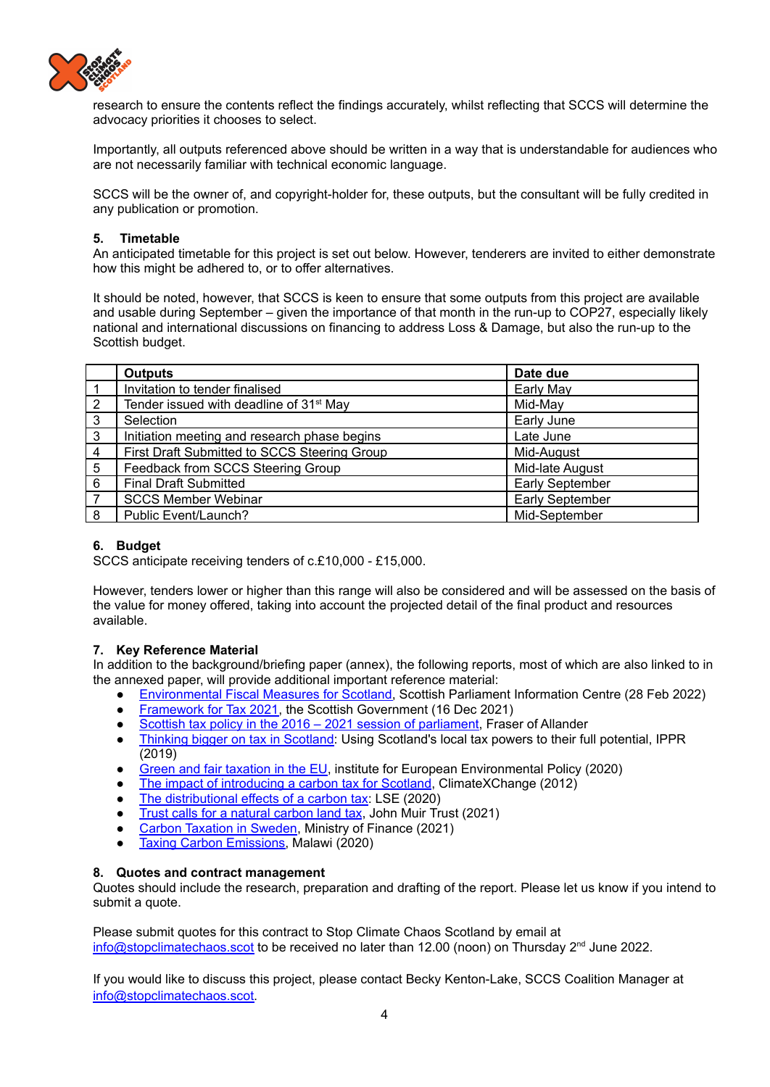

research to ensure the contents reflect the findings accurately, whilst reflecting that SCCS will determine the advocacy priorities it chooses to select.

Importantly, all outputs referenced above should be written in a way that is understandable for audiences who are not necessarily familiar with technical economic language.

SCCS will be the owner of, and copyright-holder for, these outputs, but the consultant will be fully credited in any publication or promotion.

## **5. Timetable**

An anticipated timetable for this project is set out below. However, tenderers are invited to either demonstrate how this might be adhered to, or to offer alternatives.

It should be noted, however, that SCCS is keen to ensure that some outputs from this project are available and usable during September – given the importance of that month in the run-up to COP27, especially likely national and international discussions on financing to address Loss & Damage, but also the run-up to the Scottish budget.

|                | <b>Outputs</b>                                      | Date due        |
|----------------|-----------------------------------------------------|-----------------|
|                | Invitation to tender finalised                      | Early May       |
| 2              | Tender issued with deadline of 31 <sup>st</sup> May | Mid-May         |
| $\mathbf{3}$   | Selection                                           | Early June      |
| $\mathbf{3}$   | Initiation meeting and research phase begins        | Late June       |
| $\overline{4}$ | First Draft Submitted to SCCS Steering Group        | Mid-August      |
| 5              | Feedback from SCCS Steering Group                   | Mid-late August |
| -6             | <b>Final Draft Submitted</b>                        | Early September |
| $\overline{7}$ | <b>SCCS Member Webinar</b>                          | Early September |
| 8              | Public Event/Launch?                                | Mid-September   |

## **6. Budget**

SCCS anticipate receiving tenders of c.£10,000 - £15,000.

However, tenders lower or higher than this range will also be considered and will be assessed on the basis of the value for money offered, taking into account the projected detail of the final product and resources available.

## **7. Key Reference Material**

In addition to the background/briefing paper (annex), the following reports, most of which are also linked to in the annexed paper, will provide additional important reference material:

- [Environmental](https://digitalpublications.parliament.scot/ResearchBriefings/Report/2022/2/28/1e688d4c-6ba1-4745-9204-55428c5e7f0b?utm_source=twitter&utm_medium=spice_research&utm_term=&utm_content=a017c03e-7063-4e47-8d99-84a56192da85&utm_campaign=ongoing#Introduction) Fiscal Measures for Scotland, Scottish Parliament Information Centre (28 Feb 2022)
- [Framework](https://www.gov.scot/publications/framework-tax-2021/#:~:text=Scotland) for Tax 2021, the Scottish Government (16 Dec 2021)
- Scottish tax policy in the 2016 2021 session of [parliament,](https://fraserofallander.org/wp-content/uploads/2021/03/Scottish-tax-policy-2016_2021-2.pdf) Fraser of Allander
- Thinking bigger on tax in [Scotland:](https://www.ippr.org/research/publications/thinking-bigger-on-tax-in-scotland) Using Scotland's local tax powers to their full potential, IPPR (2019)
- Green and fair [taxation](https://ieep.eu/publications/green-and-fair-taxation-in-the-eu) in the EU, institute for European Environmental Policy (2020)
- The impact of [introducing](https://www.climatexchange.org.uk/research/projects/the-impact-of-introducing-a-carbon-tax-for-scotland/) a carbon tax for Scotland, ClimateXChange (2012)
- The distributional effects of a carbon tax: LSE (2020)
- Trust calls for a natural carbon land tax, John Muir Trust (2021)
- Carbon [Taxation](https://www.government.se/48e407/contentassets/419eb2cafa93423c891c09cb9914801b/210111-carbon-tax-sweden---general-info.pdf) in Sweden, Ministry of Finance (2021)
- Taxing Carbon [Emissions,](https://www.mwnation.com/taxing-carbon-emissions/) Malawi (2020)

## **8. Quotes and contract management**

Quotes should include the research, preparation and drafting of the report. Please let us know if you intend to submit a quote.

Please submit quotes for this contract to Stop Climate Chaos Scotland by email at [info@stopclimatechaos.scot](mailto:info@stopclimatechaos.scot) to be received no later than 12.00 (noon) on Thursday 2<sup>nd</sup> June 2022.

If you would like to discuss this project, please contact Becky Kenton-Lake, SCCS Coalition Manager at [info@stopclimatechaos.scot.](mailto:info@stopclimatechaos.scot)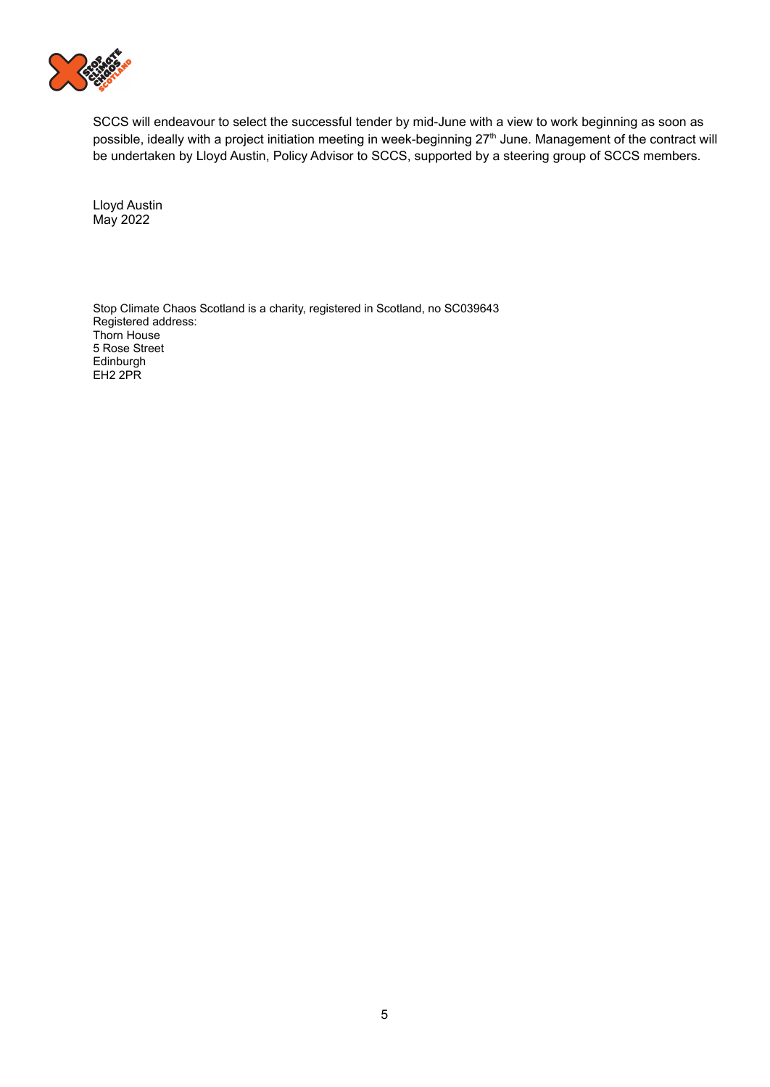

SCCS will endeavour to select the successful tender by mid-June with a view to work beginning as soon as possible, ideally with a project initiation meeting in week-beginning 27<sup>th</sup> June. Management of the contract will be undertaken by Lloyd Austin, Policy Advisor to SCCS, supported by a steering group of SCCS members.

Lloyd Austin May 2022

Stop Climate Chaos Scotland is a charity, registered in Scotland, no SC039643 Registered address: Thorn House 5 Rose Street Edinburgh EH2 2PR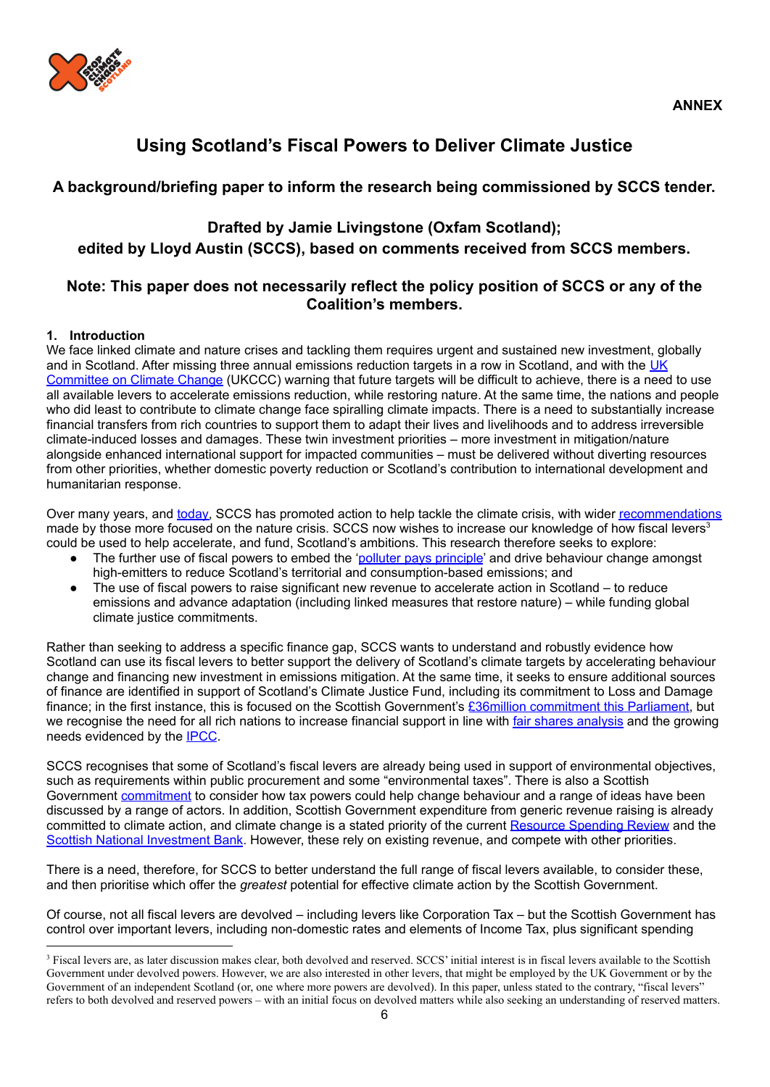

## **Using Scotland's Fiscal Powers to Deliver Climate Justice**

## **A background/briefing paper to inform the research being commissioned by SCCS tender.**

## **Drafted by Jamie Livingstone (Oxfam Scotland); edited by Lloyd Austin (SCCS), based on comments received from SCCS members.**

## **Note: This paper does not necessarily reflect the policy position of SCCS or any of the Coalition's members.**

## **1. Introduction**

We face linked climate and nature crises and tackling them requires urgent and sustained new investment, globally and in Scotland. After missing three annual emissions reduction targets in a row in Scotland, and with the [UK](https://www.theccc.org.uk/publication/progress-reducing-emissions-in-scotland-2021-report-to-parliament/) [Committee](https://www.theccc.org.uk/publication/progress-reducing-emissions-in-scotland-2021-report-to-parliament/) on Climate Change (UKCCC) warning that future targets will be difficult to achieve, there is a need to use all available levers to accelerate emissions reduction, while restoring nature. At the same time, the nations and people who did least to contribute to climate change face spiralling climate impacts. There is a need to substantially increase financial transfers from rich countries to support them to adapt their lives and livelihoods and to address irreversible climate-induced losses and damages. These twin investment priorities – more investment in mitigation/nature alongside enhanced international support for impacted communities – must be delivered without diverting resources from other priorities, whether domestic poverty reduction or Scotland's contribution to international development and humanitarian response.

Over many years, and [today,](https://www.stopclimatechaos.scot/wp-content/uploads/2020/10/SCCS-Manifesto-FINAL-.pdf) SCCS has promoted action to help tackle the climate crisis, with wider [recommendations](https://www.rspb.org.uk/about-the-rspb/about-us/media-centre/press-releases/nature-recovery-plan-scotland/) made by those more focused on the nature crisis. SCCS now wishes to increase our knowledge of how fiscal levers<sup>3</sup> could be used to help accelerate, and fund, Scotland's ambitions. This research therefore seeks to explore:

- The further use of fiscal powers to embed the 'polluter pays [principle](https://www.iisd.org/articles/polluter-pays-principle)' and drive behaviour change amongst high-emitters to reduce Scotland's territorial and consumption-based emissions; and
- The use of fiscal powers to raise significant new revenue to accelerate action in Scotland to reduce emissions and advance adaptation (including linked measures that restore nature) – while funding global climate justice commitments.

Rather than seeking to address a specific finance gap, SCCS wants to understand and robustly evidence how Scotland can use its fiscal levers to better support the delivery of Scotland's climate targets by accelerating behaviour change and financing new investment in emissions mitigation. At the same time, it seeks to ensure additional sources of finance are identified in support of Scotland's Climate Justice Fund, including its commitment to Loss and Damage finance; in the first instance, this is focused on the Scottish Government's £36million [commitment](https://www.gov.scot/policies/international-development/climate-justice-fund/) this Parliament, but we recognise the need for all rich nations to increase financial support in line with fair shares [analysis](https://www.foei.org/what-we-do/climate-justice-and-energy/climate-fair-shares/) and the growing needs evidenced by the [IPCC](https://www.oxfam.org/en/press-releases/oxfam-reaction-ipccs-working-group-ii-report-climate-change-impacts-adaptation-and).

SCCS recognises that some of Scotland's fiscal levers are already being used in support of environmental objectives, such as requirements within public procurement and some "environmental taxes". There is also a Scottish Government [commitment](https://www.gov.scot/publications/framework-tax-2021/#:~:text=Scotland) to consider how tax powers could help change behaviour and a range of ideas have been discussed by a range of actors. In addition, Scottish Government expenditure from generic revenue raising is already committed to climate action, and climate change is a stated priority of the current [Resource](https://www.gov.scot/publications/investing-scotlands-future-resource-spending-review-framework/) Spending Review and the Scottish National [Investment](https://www.gov.scot/policies/economic-growth/scottish-national-investment-bank/) Bank. However, these rely on existing revenue, and compete with other priorities.

There is a need, therefore, for SCCS to better understand the full range of fiscal levers available, to consider these, and then prioritise which offer the *greatest* potential for effective climate action by the Scottish Government.

Of course, not all fiscal levers are devolved – including levers like Corporation Tax – but the Scottish Government has control over important levers, including non-domestic rates and elements of Income Tax, plus significant spending

<sup>&</sup>lt;sup>3</sup> Fiscal levers are, as later discussion makes clear, both devolved and reserved. SCCS' initial interest is in fiscal levers available to the Scottish Government under devolved powers. However, we are also interested in other levers, that might be employed by the UK Government or by the Government of an independent Scotland (or, one where more powers are devolved). In this paper, unless stated to the contrary, "fiscal levers" refers to both devolved and reserved powers – with an initial focus on devolved matters while also seeking an understanding of reserved matters.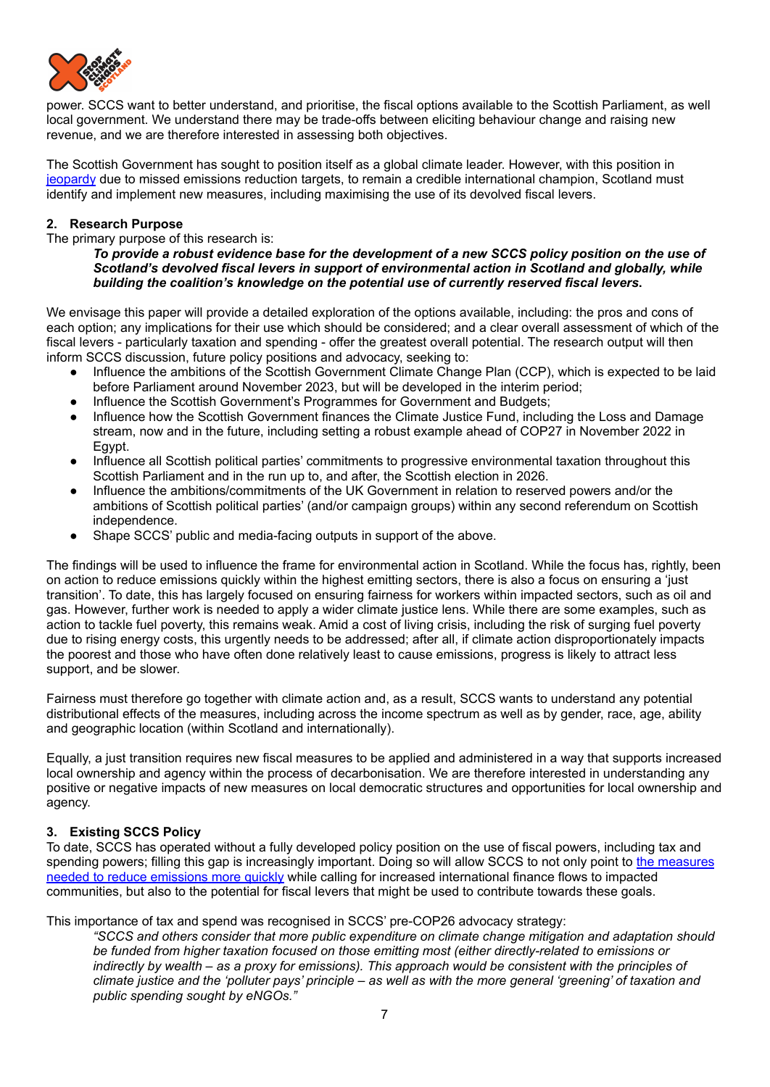

power. SCCS want to better understand, and prioritise, the fiscal options available to the Scottish Parliament, as well local government. We understand there may be trade-offs between eliciting behaviour change and raising new revenue, and we are therefore interested in assessing both objectives.

The Scottish Government has sought to position itself as a global climate leader. However, with this position in [jeopardy](https://oxfamapps.org/scotland/2021/12/30/scotland-must-up-its-game-on-climate-justice/) due to missed emissions reduction targets, to remain a credible international champion, Scotland must identify and implement new measures, including maximising the use of its devolved fiscal levers.

## **2. Research Purpose**

The primary purpose of this research is:

To provide a robust evidence base for the development of a new SCCS policy position on the use of *Scotland's devolved fiscal levers in support of environmental action in Scotland and globally, while building the coalition's knowledge on the potential use of currently reserved fiscal levers***.**

We envisage this paper will provide a detailed exploration of the options available, including: the pros and cons of each option; any implications for their use which should be considered; and a clear overall assessment of which of the fiscal levers - particularly taxation and spending - offer the greatest overall potential. The research output will then inform SCCS discussion, future policy positions and advocacy, seeking to:

- Influence the ambitions of the Scottish Government Climate Change Plan (CCP), which is expected to be laid before Parliament around November 2023, but will be developed in the interim period;
- Influence the Scottish Government's Programmes for Government and Budgets;
- Influence how the Scottish Government finances the Climate Justice Fund, including the Loss and Damage stream, now and in the future, including setting a robust example ahead of COP27 in November 2022 in Egypt.
- Influence all Scottish political parties' commitments to progressive environmental taxation throughout this Scottish Parliament and in the run up to, and after, the Scottish election in 2026.
- Influence the ambitions/commitments of the UK Government in relation to reserved powers and/or the ambitions of Scottish political parties' (and/or campaign groups) within any second referendum on Scottish independence.
- Shape SCCS' public and media-facing outputs in support of the above.

The findings will be used to influence the frame for environmental action in Scotland. While the focus has, rightly, been on action to reduce emissions quickly within the highest emitting sectors, there is also a focus on ensuring a 'just transition'. To date, this has largely focused on ensuring fairness for workers within impacted sectors, such as oil and gas. However, further work is needed to apply a wider climate justice lens. While there are some examples, such as action to tackle fuel poverty, this remains weak. Amid a cost of living crisis, including the risk of surging fuel poverty due to rising energy costs, this urgently needs to be addressed; after all, if climate action disproportionately impacts the poorest and those who have often done relatively least to cause emissions, progress is likely to attract less support, and be slower.

Fairness must therefore go together with climate action and, as a result, SCCS wants to understand any potential distributional effects of the measures, including across the income spectrum as well as by gender, race, age, ability and geographic location (within Scotland and internationally).

Equally, a just transition requires new fiscal measures to be applied and administered in a way that supports increased local ownership and agency within the process of decarbonisation. We are therefore interested in understanding any positive or negative impacts of new measures on local democratic structures and opportunities for local ownership and agency.

## **3. Existing SCCS Policy**

To date, SCCS has operated without a fully developed policy position on the use of fiscal powers, including tax and spending powers; filling this gap is increasingly important. Doing so will allow SCCS to not only point to the [measures](https://www.stopclimatechaos.scot/wp-content/uploads/2020/10/SCCS-Manifesto-FINAL-.pdf) needed to reduce [emissions](https://www.stopclimatechaos.scot/wp-content/uploads/2020/10/SCCS-Manifesto-FINAL-.pdf) more quickly while calling for increased international finance flows to impacted communities, but also to the potential for fiscal levers that might be used to contribute towards these goals.

This importance of tax and spend was recognised in SCCS' pre-COP26 advocacy strategy:

*"SCCS and others consider that more public expenditure on climate change mitigation and adaptation should be funded from higher taxation focused on those emitting most (either directly-related to emissions or* indirectly by wealth – as a proxy for emissions). This approach would be consistent with the principles of climate justice and the 'polluter pays' principle - as well as with the more general 'greening' of taxation and *public spending sought by eNGOs."*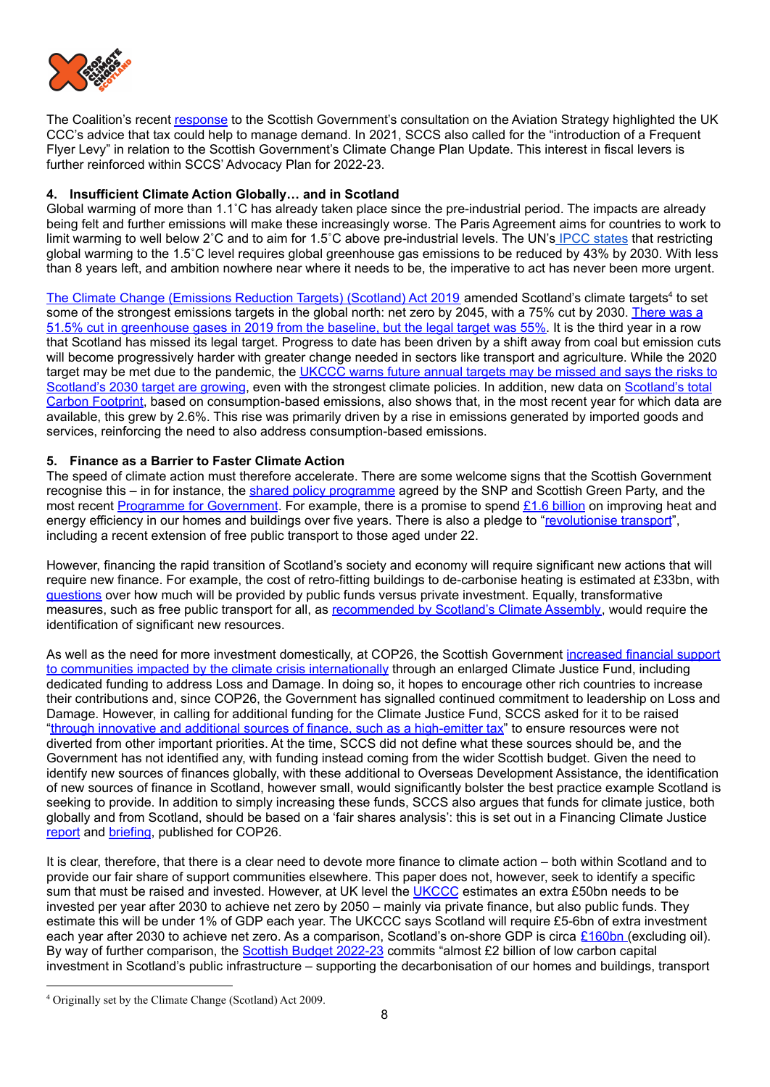

The Coalition's recent [response](https://www.stopclimatechaos.scot/wp-content/uploads/2022/01/SCCS-Response-to-TS-re-proposed-aviation-strategy.pdf) to the Scottish Government's consultation on the Aviation Strategy highlighted the UK CCC's advice that tax could help to manage demand. In 2021, SCCS also called for the "introduction of a Frequent Flyer Levy" in relation to the Scottish Government's Climate Change Plan Update. This interest in fiscal levers is further reinforced within SCCS' Advocacy Plan for 2022-23.

## **4. Insufficient Climate Action Globally… and in Scotland**

Global warming of more than 1.1˚C has already taken place since the pre-industrial period. The impacts are already being felt and further emissions will make these increasingly worse. The Paris Agreement aims for countries to work to limit warming to well below 2˚C and to aim for 1.5˚C above pre-industrial levels. The UN's IPCC [states](https://www.ipcc.ch/2022/04/04/ipcc-ar6-wgiii-pressrelease/) that restricting global warming to the 1.5˚C level requires global greenhouse gas emissions to be reduced by 43% by 2030. With less than 8 years left, and ambition nowhere near where it needs to be, the imperative to act has never been more urgent.

The Climate Change [\(Emissions](https://www.legislation.gov.uk/asp/2019/15/contents/enacted) Reduction Targets) (Scotland) Act 2019 amended Scotland's climate targets<sup>4</sup> to set some of the strongest emissions targets in the global north: net zero by 2045, with a 75% cut by 2030. [There](https://www.gov.scot/binaries/content/documents/govscot/publications/statistics/2021/06/scottish-greenhouse-gas-statistics-1990-2019/documents/scottish-greenhouse-gas-emissions-2019/scottish-greenhouse-gas-emissions-2019/govscot%3Adocument/scottish-greenhouse-gas-emissions-2019.pdf) was a 51.5% cut in [greenhouse](https://www.gov.scot/binaries/content/documents/govscot/publications/statistics/2021/06/scottish-greenhouse-gas-statistics-1990-2019/documents/scottish-greenhouse-gas-emissions-2019/scottish-greenhouse-gas-emissions-2019/govscot%3Adocument/scottish-greenhouse-gas-emissions-2019.pdf) gases in 2019 from the baseline, but the legal target was 55%. It is the third year in a row that Scotland has missed its legal target. Progress to date has been driven by a shift away from coal but emission cuts will become progressively harder with greater change needed in sectors like transport and agriculture. While the 2020 target may be met due to the pandemic, the [UKCCC](https://www.theccc.org.uk/publication/progress-reducing-emissions-in-scotland-2021-report-to-parliament/) warns future annual targets may be missed and says the risks to [Scotland's](https://www.gov.scot/news/scotlands-carbon-footprint-1998-2018/) 2030 target are growing, even with the strongest climate policies. In addition, new data on Scotland's total Carbon [Footprint](https://www.gov.scot/news/scotlands-carbon-footprint-1998-2018/), based on consumption-based emissions, also shows that, in the most recent year for which data are available, this grew by 2.6%. This rise was primarily driven by a rise in emissions generated by imported goods and services, reinforcing the need to also address consumption-based emissions.

## **5. Finance as a Barrier to Faster Climate Action**

The speed of climate action must therefore accelerate. There are some welcome signs that the Scottish Government recognise this – in for instance, the shared policy [programme](https://www.gov.scot/publications/scottish-government-scottish-green-party-shared-policy-programme/) agreed by the SNP and Scottish Green Party, and the most recent Programme for [Government](https://www.gov.scot/publications/fairer-greener-scotland-programme-government-2021-22/). For example, there is a promise to spend £1.6 [billion](https://www.gov.scot/news/budget-to-support-net-zero-transformation/) on improving heat and energy efficiency in our homes and buildings over five years. There is also a pledge to "[revolutionise](https://www.gov.scot/publications/fairer-greener-scotland-programme-government-2021-22/pages/6/) transport", including a recent extension of free public transport to those aged under 22.

However, financing the rapid transition of Scotland's society and economy will require significant new actions that will require new finance. For example, the cost of retro-fitting buildings to de-carbonise heating is estimated at £33bn, with [questions](https://www.dailyrecord.co.uk/news/politics/nicola-sturgeon-challenged-over-cost-26367621) over how much will be provided by public funds versus private investment. Equally, transformative measures, such as free public transport for all, as [recommended](https://www.climateassembly.scot/government-response/goal-5-public-transport) by Scotland's Climate Assembly, would require the identification of significant new resources.

As well as the need for more investment domestically, at COP26, the Scottish Government [increased](https://www.gov.scot/news/scotland-to-boost-climate-funding/) financial support to communities impacted by the climate crisis [internationally](https://www.gov.scot/news/scotland-to-boost-climate-funding/) through an enlarged Climate Justice Fund, including dedicated funding to address Loss and Damage. In doing so, it hopes to encourage other rich countries to increase their contributions and, since COP26, the Government has signalled continued commitment to leadership on Loss and Damage. However, in calling for additional funding for the Climate Justice Fund, SCCS asked for it to be raised "through innovative and additional sources of finance, such as a [high-emitter](https://www.stopclimatechaos.scot/wp-content/uploads/2020/10/Delivering-climate-justice-at-COP26.pdf) tax" to ensure resources were not diverted from other important priorities. At the time, SCCS did not define what these sources should be, and the Government has not identified any, with funding instead coming from the wider Scottish budget. Given the need to identify new sources of finances globally, with these additional to Overseas Development Assistance, the identification of new sources of finance in Scotland, however small, would significantly bolster the best practice example Scotland is seeking to provide. In addition to simply increasing these funds, SCCS also argues that funds for climate justice, both globally and from Scotland, should be based on a 'fair shares analysis': this is set out in a Financing Climate Justice [report](https://www.stopclimatechaos.scot/wp-content/uploads/2020/10/FinancingClimateJustice_Final.pdf) and [briefing](https://www.stopclimatechaos.scot/wp-content/uploads/2020/10/Financing-Climate-Justice-Summary_FINAL-Oct-1.pdf), published for COP26.

It is clear, therefore, that there is a clear need to devote more finance to climate action – both within Scotland and to provide our fair share of support communities elsewhere. This paper does not, however, seek to identify a specific sum that must be raised and invested. However, at UK level the [UKCCC](https://www.climateassembly.scot/node/229) estimates an extra £50bn needs to be invested per year after 2030 to achieve net zero by 2050 – mainly via private finance, but also public funds. They estimate this will be under 1% of GDP each year. The UKCCC says Scotland will require £5-6bn of extra investment each year after 2030 to achieve net zero. As a comparison, Scotland's on-shore GDP is circa [£160bn](https://www.gov.scot/binaries/content/documents/govscot/publications/strategy-plan/2022/03/scotlands-national-strategy-economic-transformation/documents/evidence-paper/evidence-paper/govscot%3Adocument/evidence-paper.pdf) (excluding oil). By way of further comparison, the **Scottish Budget [2022-23](https://www.gov.scot/publications/scottish-budget-2022-23/pages/21/)** commits "almost £2 billion of low carbon capital investment in Scotland's public infrastructure – supporting the decarbonisation of our homes and buildings, transport

<sup>4</sup> Originally set by the Climate Change (Scotland) Act 2009.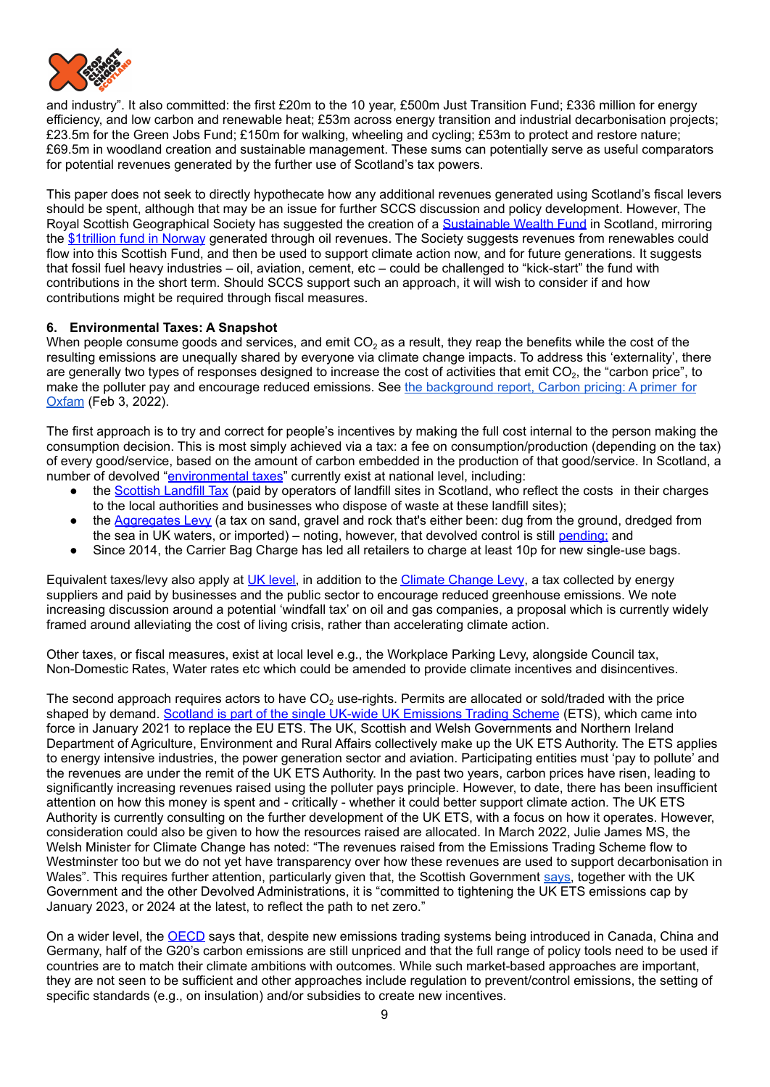

and industry". It also committed: the first £20m to the 10 year, £500m Just Transition Fund; £336 million for energy efficiency, and low carbon and renewable heat; £53m across energy transition and industrial decarbonisation projects; £23.5m for the Green Jobs Fund; £150m for walking, wheeling and cycling; £53m to protect and restore nature; £69.5m in woodland creation and sustainable management. These sums can potentially serve as useful comparators for potential revenues generated by the further use of Scotland's tax powers.

This paper does not seek to directly hypothecate how any additional revenues generated using Scotland's fiscal levers should be spent, although that may be an issue for further SCCS discussion and policy development. However, The Royal Scottish Geographical Society has suggested the creation of a [Sustainable](https://www.rsgs.org/blogs/rsgs-blog/a-sustainable-wealth-fund-to-fuel-transition) Wealth Fund in Scotland, mirroring the [\\$1trillion](https://www.bloomberg.com/news/articles/2022-01-27/norway-wealth-fund-returns-14-5-in-2021-as-stocks-surged) fund in Norway generated through oil revenues. The Society suggests revenues from renewables could flow into this Scottish Fund, and then be used to support climate action now, and for future generations. It suggests that fossil fuel heavy industries – oil, aviation, cement, etc – could be challenged to "kick-start" the fund with contributions in the short term. Should SCCS support such an approach, it will wish to consider if and how contributions might be required through fiscal measures.

## **6. Environmental Taxes: A Snapshot**

When people consume goods and services, and emit  $CO<sub>2</sub>$  as a result, they reap the benefits while the cost of the resulting emissions are unequally shared by everyone via climate change impacts. To address this 'externality', there are generally two types of responses designed to increase the cost of activities that emit CO<sub>2</sub>, the "carbon price", to make the polluter pay and encourage reduced emissions. See the background report, [Carbon](https://www.oxfamamerica.org/explore/research-publications/carbon-pricing-a-primer-for-oxfam/) pricing: A primer for [Oxfam](https://www.oxfamamerica.org/explore/research-publications/carbon-pricing-a-primer-for-oxfam/) (Feb 3, 2022).

The first approach is to try and correct for people's incentives by making the full cost internal to the person making the consumption decision. This is most simply achieved via a tax: a fee on consumption/production (depending on the tax) of every good/service, based on the amount of carbon embedded in the production of that good/service. In Scotland, a number of devolved "[environmental](https://www.mygov.scot/green-taxes-reliefs) taxes" currently exist at national level, including:

- the [Scottish](https://www.mygov.scot/green-taxes-reliefs/scottish-landfill-tax) Landfill Tax (paid by operators of landfill sites in Scotland, who reflect the costs in their charges to the local authorities and businesses who dispose of waste at these landfill sites);
- the [Aggregates](https://www.mygov.scot/green-taxes-reliefs/aggregates-levy) Levy (a tax on sand, gravel and rock that's either been: dug from the ground, dredged from the sea in UK waters, or imported) – noting, however, that devolved control is still [pending](https://www.gov.scot/policies/taxes/aggregates-levy/); and
- Since 2014, the Carrier Bag Charge has led all retailers to charge at least 10p for new single-use bags.

Equivalent taxes/levy also apply at UK [level,](https://www.gov.uk/green-taxes-and-reliefs/climate-change-levy) in addition to the Climate [Change](https://www.gov.uk/guidance/climate-change-levy-rates) Levy, a tax collected by energy suppliers and paid by businesses and the public sector to encourage reduced greenhouse emissions. We note increasing [discussion](https://www.bbc.co.uk/news/business-61408522) around a potential 'windfall tax' on oil and gas companies, a proposal which is currently widely framed around alleviating the cost of living crisis, rather than accelerating climate action.

Other taxes, or fiscal measures, exist at local level e.g., the Workplace Parking Levy, alongside Council tax, Non-Domestic Rates, Water rates etc which could be amended to provide climate incentives and disincentives.

The second approach requires actors to have  $CO<sub>2</sub>$  use-rights. Permits are allocated or sold/traded with the price shaped by demand. Scotland is part of the single UK-wide UK [Emissions](https://www.gov.scot/policies/climate-change/emissions-trading-scheme/) Trading Scheme (ETS), which came into force in January 2021 to replace the EU ETS. The UK, Scottish and Welsh Governments and Northern Ireland Department of Agriculture, Environment and Rural Affairs collectively make up the UK ETS Authority. The ETS applies to energy intensive industries, the power generation sector and aviation. Participating entities must 'pay to pollute' and the revenues are under the remit of the UK ETS Authority. In the past two years, carbon prices have risen, leading to significantly increasing revenues raised using the polluter pays principle. However, to date, there has been insufficient attention on how this money is spent and - critically - whether it could better support climate action. The UK ETS Authority is currently [consulting](https://www.gov.uk/government/consultations/developing-the-uk-emissions-trading-scheme-uk-ets) on the further development of the UK ETS, with a focus on how it operates. However, consideration could also be given to how the resources raised are allocated. In March 2022, Julie James MS, [the](https://gov.wales/written-statement-emissions-trading-scheme) Welsh Minister for Climate [Change](https://gov.wales/written-statement-emissions-trading-scheme) has noted: "The revenues raised from the Emissions Trading Scheme flow to Westminster too but we do not yet have transparency over how these revenues are used to support decarbonisation in Wales". This requires further attention, particularly given that, the Scottish Government [says,](https://www.gov.scot/binaries/content/documents/govscot/publications/strategy-plan/2021/12/scottish-government-response-scotlands-climate-assembly-recommendations-action2/documents/scottish-government-response-scotlands-climate-assembly-recommendations-action/scottish-government-response-scotlands-climate-assembly-recommendations-action/govscot%3Adocument/scottish-government-response-scotlands-climate-assembly-recommendations-action.pdf) together with the UK Government and the other Devolved Administrations, it is "committed to tightening the UK ETS emissions cap by January 2023, or 2024 at the latest, to reflect the path to net zero."

On a wider level, the [OECD](https://www.oecd.org/tax/tax-policy/g20-economies-are-pricing-more-carbon-emissions-but-stronger-globally-more-coherent-policy-action-is-needed-to-meet-climate-goals-says-oecd.htm) says that, despite new emissions trading systems being introduced in Canada, China and Germany, half of the G20's carbon emissions are still unpriced and that the full range of policy tools need to be used if countries are to match their climate ambitions with outcomes. While such market-based approaches are important, they are not seen to be sufficient and other approaches include regulation to prevent/control emissions, the setting of specific standards (e.g., on insulation) and/or subsidies to create new incentives.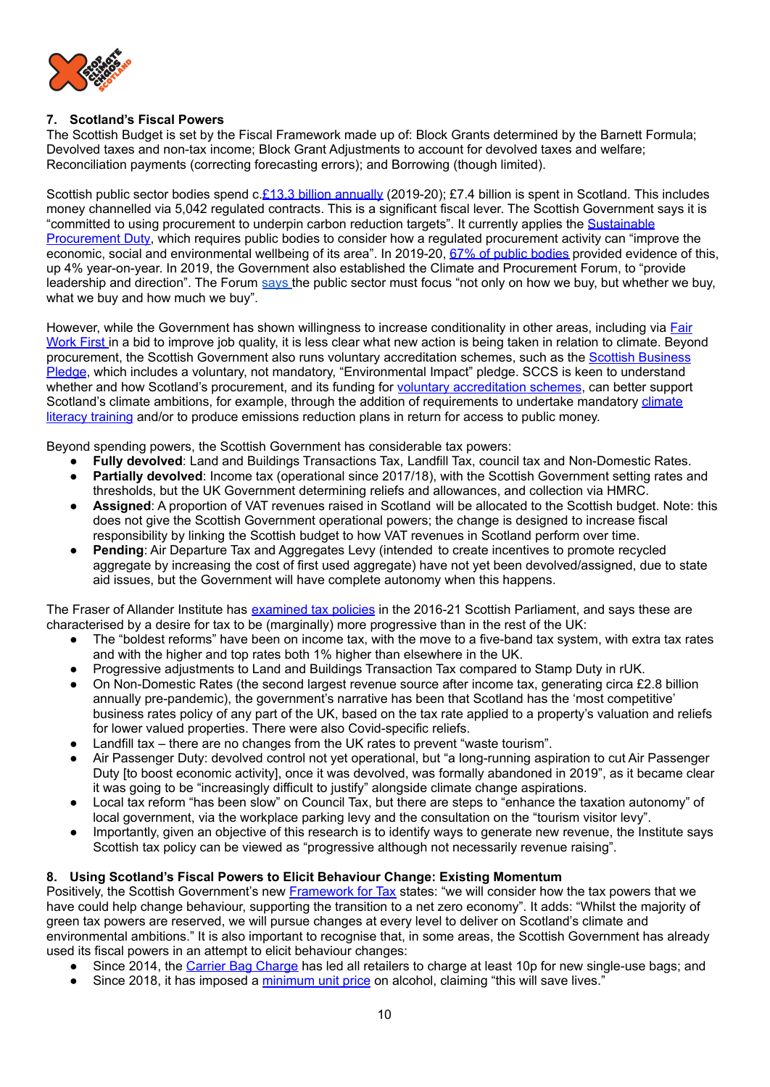

## **7. Scotland's Fiscal Powers**

The Scottish Budget is set by the Fiscal Framework made up of: Block Grants determined by the Barnett Formula; Devolved taxes and non-tax income; Block Grant Adjustments to account for devolved taxes and welfare; Reconciliation payments (correcting forecasting errors); and Borrowing (though limited).

Scottish public sector bodies spend c.£13.3 billion [annually](https://blogs.gov.scot/public-procurement/2021/12/21/annual-report-on-procurement-activity-in-scotland-2019-2020-published/) (2019-20); £7.4 billion is spent in Scotland. This includes money channelled via 5,042 regulated contracts. This is a significant fiscal lever. The Scottish Government says it is "committed to using procurement to underpin carbon reduction targets". It currently applies the [Sustainable](https://www.gov.scot/policies/public-sector-procurement/sustainable-procurement-duty/) [Procurement](https://www.gov.scot/policies/public-sector-procurement/sustainable-procurement-duty/) Duty, which requires public bodies to consider how a regulated procurement activity can "improve the economic, social and environmental wellbeing of its area". In 2019-20, 67% of public [bodies](https://www.gov.scot/publications/annual-report-procurement-activity-scotland-overview-procurement-activity-2019-20/documents/) provided evidence of this, up 4% year-on-year. In 2019, the Government also established the Climate and Procurement Forum, to "provide leadership and direction". The Forum [says](https://www.gov.scot/publications/annual-report-procurement-activity-scotland-overview-procurement-activity-2019-20/pages/4/) the public sector must focus "not only on how we buy, but whether we buy, what we buy and how much we buy".

However, while the Government has shown willingness to increase conditionality in other areas, including via [Fair](https://www.gov.scot/publications/fair-work-first-guidance/) [Work](https://www.gov.scot/publications/fair-work-first-guidance/) First in a bid to improve job quality, it is less clear what new action is being taken in relation to climate. Beyond procurement, the Scottish Government also runs voluntary accreditation schemes, such as the Scottish [Business](https://scottishbusinesspledge.scot/) [Pledge](https://scottishbusinesspledge.scot/), which includes a voluntary, not mandatory, "Environmental Impact" pledge. SCCS is keen to understand whether and how Scotland's procurement, and its funding for voluntary [accreditation](https://oxfamapps.org/scotland/2018/08/24/2018-08-everyones-business-the-role-of-the-scottish-business-pledge-in-delivering-the-global-goals/) schemes, can better support Scotland's [climate](https://www.rsgs.org/climate-solutions) ambitions, for example, through the addition of requirements to undertake mandatory climate literacy [training](https://www.rsgs.org/climate-solutions) and/or to produce emissions reduction plans in return for access to public money.

Beyond spending powers, the Scottish Government has considerable tax powers:

- **Fully devolved**: Land and Buildings Transactions Tax, Landfill Tax, council tax and Non-Domestic Rates.
- **Partially devolved:** Income tax (operational since 2017/18), with the Scottish Government setting rates and thresholds, but the UK Government determining reliefs and allowances, and collection via HMRC.
- Assigned: A proportion of VAT revenues raised in Scotland will be allocated to the Scottish budget. Note: this does not give the Scottish Government operational powers; the change is designed to increase fiscal responsibility by linking the Scottish budget to how VAT revenues in Scotland perform over time.
- **Pending:** Air Departure Tax and Aggregates Levy (intended to create incentives to promote recycled aggregate by increasing the cost of first used aggregate) have not yet been devolved/assigned, due to state aid issues, but the Government will have complete autonomy when this happens.

The Fraser of Allander Institute has [examined](https://fraserofallander.org/wp-content/uploads/2021/03/Scottish-tax-policy-2016_2021-2.pdf) tax policies in the 2016-21 Scottish Parliament, and says these are characterised by a desire for tax to be (marginally) more progressive than in the rest of the UK:

- The "boldest reforms" have been on income tax, with the move to a five-band tax system, with extra tax rates and with the higher and top rates both 1% higher than elsewhere in the UK.
- Progressive adjustments to Land and Buildings Transaction Tax compared to Stamp Duty in rUK.
- On Non-Domestic Rates (the second largest revenue source after income tax, generating circa £2.8 billion annually pre-pandemic), the government's narrative has been that Scotland has the 'most competitive' business rates policy of any part of the UK, based on the tax rate applied to a property's valuation and reliefs for lower valued properties. There were also Covid-specific reliefs.
- Landfill tax there are no changes from the UK rates to prevent "waste tourism".
- Air Passenger Duty: devolved control not yet operational, but "a long-running aspiration to cut Air Passenger Duty [to boost economic activity], once it was devolved, was formally abandoned in 2019", as it became clear it was going to be "increasingly difficult to justify" alongside climate change aspirations.
- Local tax reform "has been slow" on Council Tax, but there are steps to "enhance the taxation autonomy" of local government, via the workplace parking levy and the consultation on the "tourism visitor levy".
- Importantly, given an objective of this research is to identify ways to generate new revenue, the Institute says Scottish tax policy can be viewed as "progressive although not necessarily revenue raising".

## **8. Using Scotland's Fiscal Powers to Elicit Behaviour Change: Existing Momentum**

Positively, the Scottish Government's new **[Framework](https://www.gov.scot/binaries/content/documents/govscot/publications/strategy-plan/2021/12/framework-tax-2021/documents/framework-tax-2021/framework-tax-2021/govscot%3Adocument/framework-tax-2021.pdf?forceDownload=true) for Tax** states: "we will consider how the tax powers that we have could help change behaviour, supporting the transition to a net zero economy". It adds: "Whilst the majority of green tax powers are reserved, we will pursue changes at every level to deliver on Scotland's climate and environmental ambitions." It is also important to recognise that, in some areas, the Scottish Government has already used its fiscal powers in an attempt to elicit behaviour changes:

- Since 2014, the Carrier Bag [Charge](https://www.mygov.scot/carrier-bag-charge#:~:text=By%20law%2C%20all%20retailers%20in,paper) has led all retailers to charge at least 10p for new single-use bags; and
- Since 2018, it has imposed a [minimum](https://www.gov.scot/policies/alcohol-and-drugs/minimum-unit-pricing/) unit price on alcohol, claiming "this will save lives."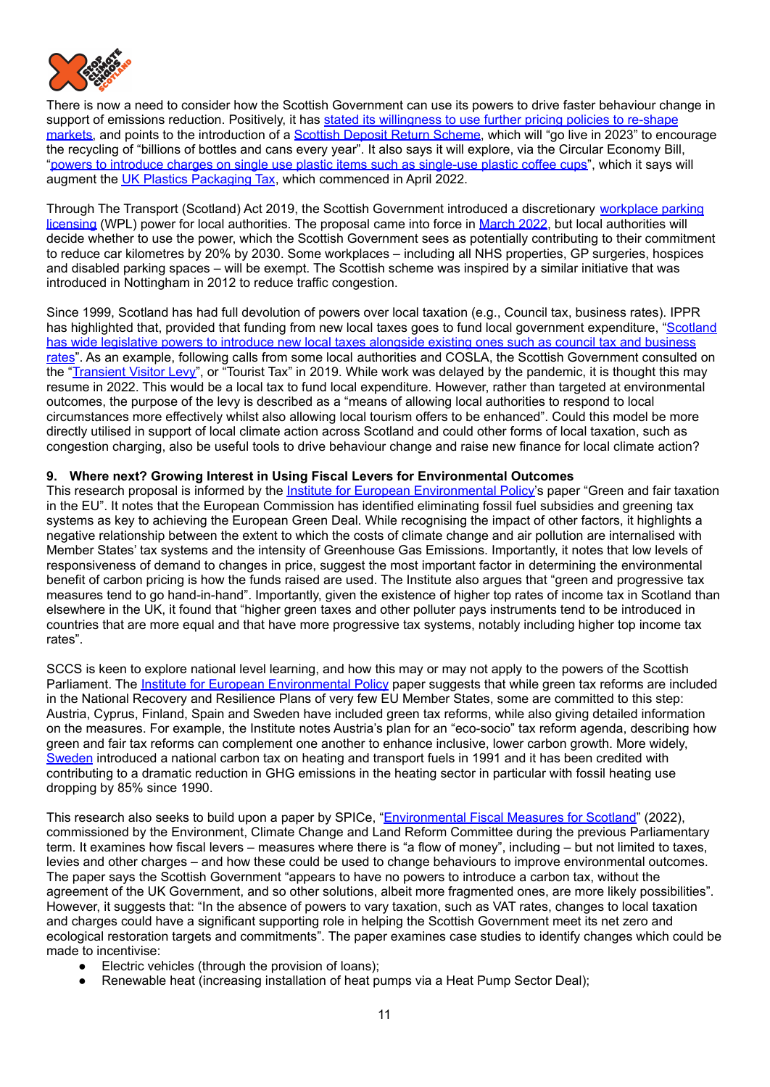

There is now a need to consider how the Scottish Government can use its powers to drive faster behaviour change in support of emissions reduction. Positively, it has stated its [willingness](https://www.climateassembly.scot/government-response/goal-15-taxation) to use further pricing policies to re-shape [markets,](https://www.climateassembly.scot/government-response/goal-15-taxation) and points to the introduction of a Scottish Deposit Return [Scheme](https://www.gov.scot/news/scotlands-deposit-return-scheme/), which will "go live in 2023" to encourage the recycling of "billions of bottles and cans every year". It also says it will explore, via the Circular Economy Bill, "powers to introduce charges on single use plastic items such as [single-use](https://www.climateassembly.scot/government-response/goal-15-taxation) plastic coffee cups", which it says will augment the UK Plastics [Packaging](https://www.gov.uk/guidance/check-if-you-need-to-register-for-plastic-packaging-tax) Tax, which commenced in April 2022.

Through The Transport (Scotland) Act 2019, the Scottish Government introduced a discretionary [workplace](https://consult.gov.scot/transport-scotland/workplace-parking-licensing-regulations/) parking [licensing](https://consult.gov.scot/transport-scotland/workplace-parking-licensing-regulations/) (WPL) power for local authorities. The proposal came into force in [March](https://www.bbc.co.uk/news/uk-scotland-scotland-politics-47089134) 2022, but local authorities will decide whether to use the power, which the Scottish Government sees as potentially contributing to their commitment to reduce car kilometres by 20% by 2030. Some workplaces – including all NHS properties, GP surgeries, hospices and disabled parking spaces – will be exempt. The Scottish scheme was inspired by a similar initiative that was introduced in Nottingham in 2012 to reduce traffic congestion.

Since 1999, Scotland has had full devolution of powers over local taxation (e.g., Council tax, business rates). IPPR has highlighted that, provided that funding from new local taxes goes to fund local government expenditure, ["Scotland](https://www.ippr.org/research/publications/thinking-bigger-on-tax-in-scotland) has wide [legislative](https://www.ippr.org/research/publications/thinking-bigger-on-tax-in-scotland) powers to introduce new local taxes alongside existing ones such as council tax and business [rates](https://www.ippr.org/research/publications/thinking-bigger-on-tax-in-scotland)". As an example, following calls from some local authorities and COSLA, the Scottish Government consulted on the ["Transient](https://www.gov.scot/publications/consultation-principles-local-discretionary-transient-visitor-levy-tourist-tax/) Visitor Levy", or "Tourist Tax" in 2019. While work was delayed by the pandemic, it is thought this may resume in 2022. This would be a local tax to fund local expenditure. However, rather than targeted at environmental outcomes, the purpose of the levy is described as a "means of allowing local authorities to respond to local circumstances more effectively whilst also allowing local tourism offers to be enhanced". Could this model be more directly utilised in support of local climate action across Scotland and could other forms of local taxation, such as congestion charging, also be useful tools to drive behaviour change and raise new finance for local climate action?

## **9. Where next? Growing Interest in Using Fiscal Levers for Environmental Outcomes**

This research proposal is informed by the Institute for European [Environmental](https://ieep.eu/publications/green-and-fair-taxation-in-the-eu) Policy's paper "Green and fair taxation in the EU". It notes that the European Commission has identified eliminating fossil fuel subsidies and greening tax systems as key to achieving the European Green Deal. While recognising the impact of other factors, it highlights a negative relationship between the extent to which the costs of climate change and air pollution are internalised with Member States' tax systems and the intensity of Greenhouse Gas Emissions. Importantly, it notes that low levels of responsiveness of demand to changes in price, suggest the most important factor in determining the environmental benefit of carbon pricing is how the funds raised are used. The Institute also argues that "green and progressive tax measures tend to go hand-in-hand". Importantly, given the existence of higher top rates of income tax in Scotland than elsewhere in the UK, it found that "higher green taxes and other polluter pays instruments tend to be introduced in countries that are more equal and that have more progressive tax systems, notably including higher top income tax rates".

SCCS is keen to explore national level learning, and how this may or may not apply to the powers of the Scottish Parliament. The Institute for European [Environmental](https://ieep.eu/publications/green-and-fair-taxation-in-the-eu) Policy paper suggests that while green tax reforms are included in the National Recovery and Resilience Plans of very few EU Member States, some are committed to this step: Austria, Cyprus, Finland, Spain and Sweden have included green tax reforms, while also giving detailed information on the measures. For example, the Institute notes Austria's plan for an "eco-socio" tax reform agenda, describing how green and fair tax reforms can complement one another to enhance inclusive, lower carbon growth. More widely, [Sweden](https://www.government.se/48e407/contentassets/419eb2cafa93423c891c09cb9914801b/210111-carbon-tax-sweden---general-info.pdf) introduced a national carbon tax on heating and transport fuels in 1991 and it has been credited with contributing to a dramatic reduction in GHG emissions in the heating sector in particular with fossil heating use dropping by 85% since 1990.

This research also seeks to build upon a paper by SPICe, ["Environmental](https://digitalpublications.parliament.scot/ResearchBriefings/Report/2022/2/28/1e688d4c-6ba1-4745-9204-55428c5e7f0b?utm_source=twitter&utm_medium=spice_research&utm_term=&utm_content=a017c03e-7063-4e47-8d99-84a56192da85&utm_campaign=ongoing#Introduction) Fiscal Measures for Scotland" (2022), commissioned by the Environment, Climate Change and Land Reform Committee during the previous Parliamentary term. It examines how fiscal levers – measures where there is "a flow of money", including – but not limited to taxes, levies and other charges – and how these could be used to change behaviours to improve environmental outcomes. The paper says the Scottish Government "appears to have no powers to introduce a carbon tax, without the agreement of the UK Government, and so other solutions, albeit more fragmented ones, are more likely possibilities". However, it suggests that: "In the absence of powers to vary taxation, such as VAT rates, changes to local taxation and charges could have a significant supporting role in helping the Scottish Government meet its net zero and ecological restoration targets and commitments". The paper examines case studies to identify changes which could be made to incentivise:

- Electric vehicles (through the provision of loans);
- Renewable heat (increasing installation of heat pumps via a Heat Pump Sector Deal);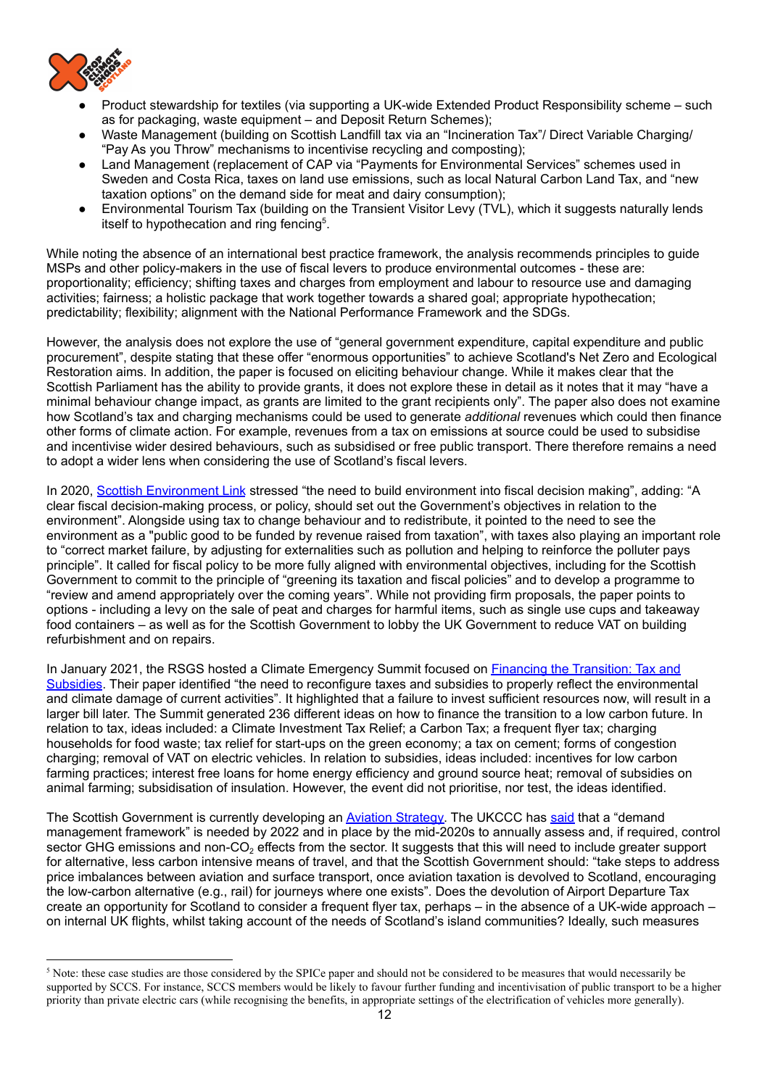

- Product stewardship for textiles (via supporting a UK-wide Extended Product Responsibility scheme such as for packaging, waste equipment – and Deposit Return Schemes);
- Waste Management (building on Scottish Landfill tax via an "Incineration Tax"/ Direct Variable Charging/ "Pay As you Throw" mechanisms to incentivise recycling and composting);
- Land Management (replacement of CAP via "Payments for Environmental Services" schemes used in Sweden and Costa Rica, taxes on land use emissions, such as local Natural Carbon Land Tax, and "new taxation options" on the demand side for meat and dairy consumption);
- Environmental Tourism Tax (building on the Transient Visitor Levy (TVL), which it suggests naturally lends itself to hypothecation and ring fencing<sup>5</sup>.

While noting the absence of an international best practice framework, the analysis recommends principles to guide MSPs and other policy-makers in the use of fiscal levers to produce environmental outcomes - these are: proportionality; efficiency; shifting taxes and charges from employment and labour to resource use and damaging activities; fairness; a holistic package that work together towards a shared goal; appropriate hypothecation; predictability; flexibility; alignment with the National Performance Framework and the SDGs.

However, the analysis does not explore the use of "general government expenditure, capital expenditure and public procurement", despite stating that these offer "enormous opportunities" to achieve Scotland's Net Zero and Ecological Restoration aims. In addition, the paper is focused on eliciting behaviour change. While it makes clear that the Scottish Parliament has the ability to provide grants, it does not explore these in detail as it notes that it may "have a minimal behaviour change impact, as grants are limited to the grant recipients only". The paper also does not examine how Scotland's tax and charging mechanisms could be used to generate *additional* revenues which could then finance other forms of climate action. For example, revenues from a tax on emissions at source could be used to subsidise and incentivise wider desired behaviours, such as subsidised or free public transport. There therefore remains a need to adopt a wider lens when considering the use of Scotland's fiscal levers.

In 2020, Scottish [Environment](https://www.scotlink.org/wp-content/uploads/2020/10/SG-consultation-fiscal-levers-and-budget-Oct-2020-FINAL.pdf) Link stressed "the need to build environment into fiscal decision making", adding: "A clear fiscal decision-making process, or policy, should set out the Government's objectives in relation to the environment". Alongside using tax to change behaviour and to redistribute, it pointed to the need to see the environment as a "public good to be funded by revenue raised from taxation", with taxes also playing an important role to "correct market failure, by adjusting for externalities such as pollution and helping to reinforce the polluter pays principle". It called for fiscal policy to be more fully aligned with environmental objectives, including for the Scottish Government to commit to the principle of "greening its taxation and fiscal policies" and to develop a programme to "review and amend appropriately over the coming years". While not providing firm proposals, the paper points to options - including a levy on the sale of peat and charges for harmful items, such as single use cups and takeaway food containers – as well as for the Scottish Government to lobby the UK Government to reduce VAT on building refurbishment and on repairs.

In January 2021, the RSGS hosted a Climate Emergency Summit focused on *Financing the [Transition:](https://www.rsgs.org/Handlers/Download.ashx?IDMF=17c2a72b-0fe9-4dea-b69f-b41e4f76f4b1) Tax and* [Subsidies](https://www.rsgs.org/Handlers/Download.ashx?IDMF=17c2a72b-0fe9-4dea-b69f-b41e4f76f4b1). Their paper identified "the need to reconfigure taxes and subsidies to properly reflect the environmental and climate damage of current activities". It highlighted that a failure to invest sufficient resources now, will result in a larger bill later. The Summit generated 236 different ideas on how to finance the transition to a low carbon future. In relation to tax, ideas included: a Climate Investment Tax Relief; a Carbon Tax; a frequent flyer tax; charging households for food waste; tax relief for start-ups on the green economy; a tax on cement; forms of congestion charging; removal of VAT on electric vehicles. In relation to subsidies, ideas included: incentives for low carbon farming practices; interest free loans for home energy efficiency and ground source heat; removal of subsidies on animal farming; subsidisation of insulation. However, the event did not prioritise, nor test, the ideas identified.

The Scottish Government is currently developing an Aviation [Strategy.](https://www.transport.gov.scot/publication/disability-and-transport-findings-from-the-scottish-household-survey-1/) The UKCCC has [said](https://www.theccc.org.uk/publication/progress-reducing-emissions-in-scotland-2021-report-to-parliam) that a "demand management framework" is needed by 2022 and in place by the mid-2020s to annually assess and, if required, control sector GHG emissions and non-CO<sub>2</sub> effects from the sector. It suggests that this will need to include greater support for alternative, less carbon intensive means of travel, and that the Scottish Government should: "take steps to address price imbalances between aviation and surface transport, once aviation taxation is devolved to Scotland, encouraging the low-carbon alternative (e.g., rail) for journeys where one exists". Does the devolution of Airport Departure Tax create an opportunity for Scotland to consider a frequent flyer tax, perhaps – in the absence of a UK-wide approach – on internal UK flights, whilst taking account of the needs of Scotland's island communities? Ideally, such measures

<sup>&</sup>lt;sup>5</sup> Note: these case studies are those considered by the SPICe paper and should not be considered to be measures that would necessarily be supported by SCCS. For instance, SCCS members would be likely to favour further funding and incentivisation of public transport to be a higher priority than private electric cars (while recognising the benefits, in appropriate settings of the electrification of vehicles more generally).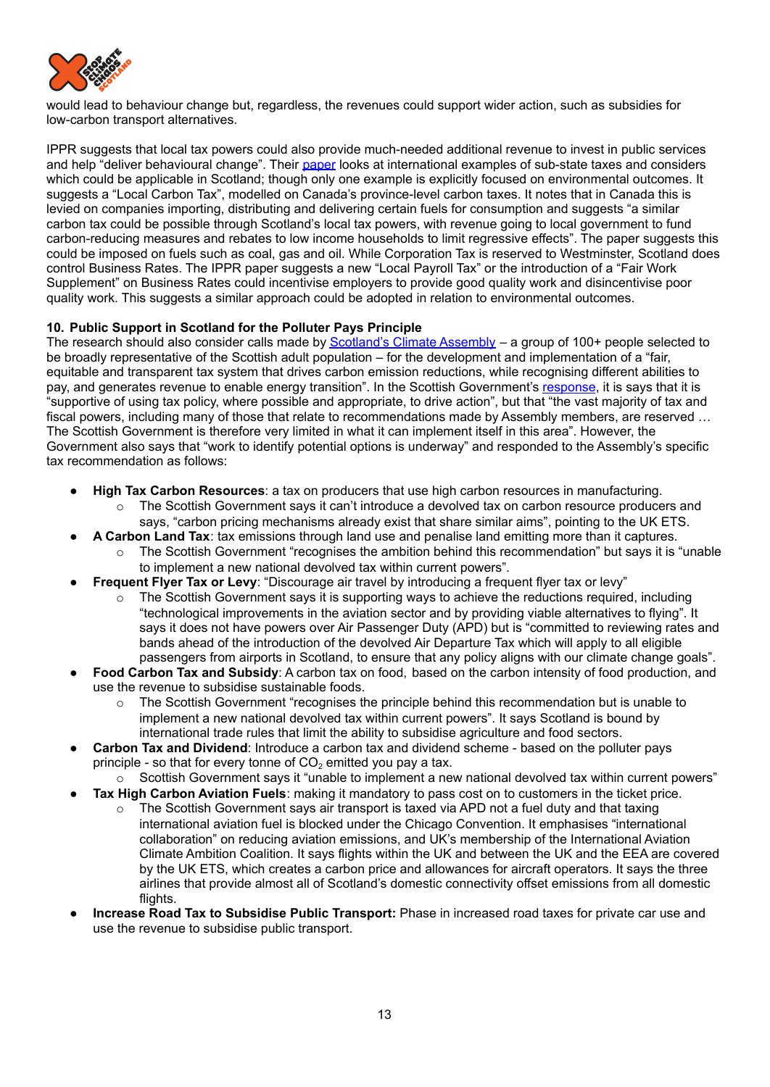

would lead to behaviour change but, regardless, the revenues could support wider action, such as subsidies for low-carbon transport alternatives.

IPPR suggests that local tax powers could also provide much-needed additional revenue to invest in public services and help "deliver behavioural change". Their [paper](https://www.ippr.org/research/publications/thinking-bigger-on-tax-in-scotland) looks at international examples of sub-state taxes and considers which could be applicable in Scotland; though only one example is explicitly focused on environmental outcomes. It suggests a "Local Carbon Tax", modelled on Canada's province-level carbon taxes. It notes that in Canada this is levied on companies importing, distributing and delivering certain fuels for consumption and suggests "a similar carbon tax could be possible through Scotland's local tax powers, with revenue going to local government to fund carbon-reducing measures and rebates to low income households to limit regressive effects". The paper suggests this could be imposed on fuels such as coal, gas and oil. While Corporation Tax is reserved to Westminster, Scotland does control Business Rates. The IPPR paper suggests a new "Local Payroll Tax" or the introduction of a "Fair Work Supplement" on Business Rates could incentivise employers to provide good quality work and disincentivise poor quality work. This suggests a similar approach could be adopted in relation to environmental outcomes.

## **10. Public Support in Scotland for the Polluter Pays Principle**

The research should also consider calls made by [Scotland's](https://www.climateassembly.scot/full-report) Climate Assembly - a group of 100+ people selected to be broadly representative of the Scottish adult population – for the development and implementation of a "fair, equitable and transparent tax system that drives carbon emission reductions, while recognising different abilities to pay, and generates revenue to enable energy transition". In the Scottish Government's [response](https://www.climateassembly.scot/government-response/goal-15-taxation), it is says that it is "supportive of using tax policy, where possible and appropriate, to drive action", but that "the vast majority of tax and fiscal powers, including many of those that relate to recommendations made by Assembly members, are reserved ... The Scottish Government is therefore very limited in what it can implement itself in this area". However, the Government also says that "work to identify potential options is underway" and responded to the Assembly's specific tax recommendation as follows:

- **High Tax Carbon Resources**: a tax on producers that use high carbon resources in manufacturing.
	- o The Scottish Government says it can't introduce a devolved tax on carbon resource producers and says, "carbon pricing mechanisms already exist that share similar aims", pointing to the UK ETS.
	- **A Carbon Land Tax**: tax emissions through land use and penalise land emitting more than it captures.
		- o The Scottish Government "recognises the ambition behind this recommendation" but says it is "unable to implement a new national devolved tax within current powers".
	- **Frequent Flyer Tax or Levy: "Discourage air travel by introducing a frequent flyer tax or levy"** 
		- $\circ$  The Scottish Government says it is supporting ways to achieve the reductions required, including "technological improvements in the aviation sector and by providing viable alternatives to flying". It says it does not have powers over Air Passenger Duty (APD) but is "committed to reviewing rates and bands ahead of the introduction of the devolved Air Departure Tax which will apply to all eligible passengers from airports in Scotland, to ensure that any policy aligns with our climate change goals".
- **Food Carbon Tax and Subsidy**: A carbon tax on food, based on the carbon intensity of food production, and use the revenue to subsidise sustainable foods.
	- The Scottish Government "recognises the principle behind this recommendation but is unable to implement a new national devolved tax within current powers". It says Scotland is bound by international trade rules that limit the ability to subsidise agriculture and food sectors.
- **Carbon Tax and Dividend**: Introduce a carbon tax and dividend scheme based on the polluter pays principle - so that for every tonne of  $CO<sub>2</sub>$  emitted you pay a tax.
	- o Scottish Government says it "unable to implement a new national devolved tax within current powers"
- **Tax High Carbon Aviation Fuels**: making it mandatory to pass cost on to customers in the ticket price.
	- $\circ$  The Scottish Government says air transport is taxed via APD not a fuel duty and that taxing international aviation fuel is blocked under the Chicago Convention. It emphasises "international collaboration" on reducing aviation emissions, and UK's membership of the International Aviation Climate Ambition Coalition. It says flights within the UK and between the UK and the EEA are covered by the UK ETS, which creates a carbon price and allowances for aircraft operators. It says the three airlines that provide almost all of Scotland's domestic connectivity offset emissions from all domestic flights.
- **● Increase Road Tax to Subsidise Public Transport:** Phase in increased road taxes for private car use and use the revenue to subsidise public transport.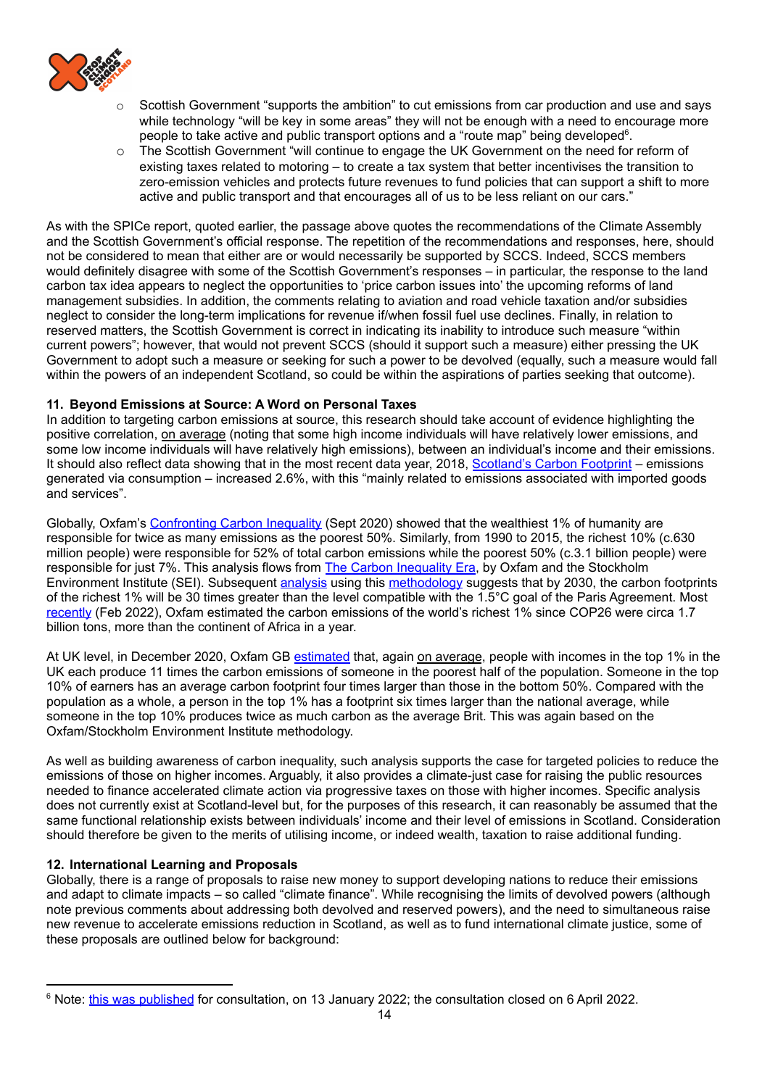

- Scottish Government "supports the ambition" to cut emissions from car production and use and says while technology "will be key in some areas" they will not be enough with a need to encourage more people to take active and public transport options and a "route map" being developed<sup>6</sup>.
- o The Scottish Government "will continue to engage the UK Government on the need for reform of existing taxes related to motoring – to create a tax system that better incentivises the transition to zero-emission vehicles and protects future revenues to fund policies that can support a shift to more active and public transport and that encourages all of us to be less reliant on our cars."

As with the SPICe report, quoted earlier, the passage above quotes the recommendations of the Climate Assembly and the Scottish Government's official response. The repetition of the recommendations and responses, here, should not be considered to mean that either are or would necessarily be supported by SCCS. Indeed, SCCS members would definitely disagree with some of the Scottish Government's responses – in particular, the response to the land carbon tax idea appears to neglect the opportunities to 'price carbon issues into' the upcoming reforms of land management subsidies. In addition, the comments relating to aviation and road vehicle taxation and/or subsidies neglect to consider the long-term implications for revenue if/when fossil fuel use declines. Finally, in relation to reserved matters, the Scottish Government is correct in indicating its inability to introduce such measure "within current powers"; however, that would not prevent SCCS (should it support such a measure) either pressing the UK Government to adopt such a measure or seeking for such a power to be devolved (equally, such a measure would fall within the powers of an independent Scotland, so could be within the aspirations of parties seeking that outcome).

## **11. Beyond Emissions at Source: A Word on Personal Taxes**

In addition to targeting carbon emissions at source, this research should take account of evidence highlighting the positive correlation, on average (noting that some high income individuals will have relatively lower emissions, and some low income individuals will have relatively high emissions), between an individual's income and their emissions. It should also reflect data showing that in the most recent data year, 2018, [Scotland's](https://www.gov.scot/news/scotlands-carbon-footprint-1998-2018/) Carbon Footprint – emissions generated via consumption – increased 2.6%, with this "mainly related to emissions associated with imported goods and services".

Globally, Oxfam's [Confronting](https://oxfamilibrary.openrepository.com/bitstream/handle/10546/621052/mb-confronting-carbon-inequality-210920-en.pdf) Carbon Inequality (Sept 2020) showed that the wealthiest 1% of humanity are responsible for twice as many emissions as the poorest 50%. Similarly, from 1990 to 2015, the richest 10% (c.630 million people) were responsible for 52% of total carbon emissions while the poorest 50% (c.3.1 billion people) were responsible for just 7%. This analysis flows from The Carbon [Inequality](https://policy-practice.oxfam.org/resources/the-carbon-inequality-era-an-assessment-of-the-global-distribution-of-consumpti-621049/) Era, by Oxfam and the Stockholm Environment Institute (SEI). Subsequent [analysis](https://www.oxfam.org/en/press-releases/carbon-emissions-richest-1-set-be-30-times-15degc-limit-2030#:~:text=The%20carbon%20footprints%20of%20the,to%20new%20research%20out%20today.&text=The%20poorest%20half%20of%20the,C%2Daligned%20level%20in%202030.) using this [methodology](https://www.oxfam.org/en/research/carbon-inequality-2030) suggests that by 2030, the carbon footprints of the richest 1% will be 30 times greater than the level compatible with the 1.5°C goal of the Paris Agreement. Most [recently](https://www.oxfam.org/en/press-releases/oxfam-reaction-ipccs-working-group-ii-report-climate-change-impacts-adaptation-and) (Feb 2022), Oxfam estimated the carbon emissions of the world's richest 1% since COP26 were circa 1.7 billion tons, more than the continent of Africa in a year.

At UK level, in December 2020, Oxfam GB [estimated](https://oxfamapps.org/media/press_release/wealthiest-brits-have-a-carbon-footprint-11-times-that-of-someone-in-the-poorest-half-of-society-oxfam/) that, again on average, people with incomes in the top 1% in the UK each produce 11 times the carbon emissions of someone in the poorest half of the population. Someone in the top 10% of earners has an average carbon footprint four times larger than those in the bottom 50%. Compared with the population as a whole, a person in the top 1% has a footprint six times larger than the national average, while someone in the top 10% produces twice as much carbon as the average Brit. This was again based on the Oxfam/Stockholm Environment Institute methodology.

As well as building awareness of carbon inequality, such analysis supports the case for targeted policies to reduce the emissions of those on higher incomes. Arguably, it also provides a climate-just case for raising the public resources needed to finance accelerated climate action via progressive taxes on those with higher incomes. Specific analysis does not currently exist at Scotland-level but, for the purposes of this research, it can reasonably be assumed that the same functional relationship exists between individuals' income and their level of emissions in Scotland. Consideration should therefore be given to the merits of utilising income, or indeed wealth, taxation to raise additional funding.

## **12. International Learning and Proposals**

Globally, there is a range of proposals to raise new money to support developing nations to reduce their emissions and adapt to climate impacts – so called "climate finance". While recognising the limits of devolved powers (although note previous comments about addressing both devolved and reserved powers), and the need to simultaneous raise new revenue to accelerate emissions reduction in Scotland, as well as to fund international climate justice, some of these proposals are outlined below for background:

<sup>&</sup>lt;sup>6</sup> Note: this was [published](https://www.transport.gov.scot/consultation/consultation-on-the-20-reduction-in-car-km-route-map/) for consultation, on 13 January 2022; the consultation closed on 6 April 2022.